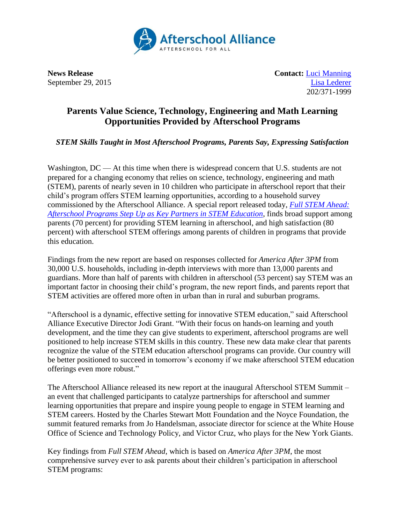

**News Release Contact:** [Luci Manning](mailto:luci@prsolutionsdc.com) September 29, 2015 [Lisa Lederer](mailto:lisa@prsolutionsdc.com) 202/371-1999

## **Parents Value Science, Technology, Engineering and Math Learning Opportunities Provided by Afterschool Programs**

*STEM Skills Taught in Most Afterschool Programs, Parents Say, Expressing Satisfaction*

Washington,  $DC - At$  this time when there is widespread concern that U.S. students are not prepared for a changing economy that relies on science, technology, engineering and math (STEM), parents of nearly seven in 10 children who participate in afterschool report that their child's program offers STEM learning opportunities, according to a household survey commissioned by the Afterschool Alliance. A special report released today, *[Full STEM Ahead:](http://www.afterschoolalliance.org/AA3PM/STEM.pdf)  [Afterschool Programs Step Up as Key Partners in STEM Education](http://www.afterschoolalliance.org/AA3PM/STEM.pdf)*, finds broad support among parents (70 percent) for providing STEM learning in afterschool, and high satisfaction (80 percent) with afterschool STEM offerings among parents of children in programs that provide this education.

Findings from the new report are based on responses collected for *America After 3PM* from 30,000 U.S. households, including in-depth interviews with more than 13,000 parents and guardians. More than half of parents with children in afterschool (53 percent) say STEM was an important factor in choosing their child's program, the new report finds, and parents report that STEM activities are offered more often in urban than in rural and suburban programs.

"Afterschool is a dynamic, effective setting for innovative STEM education," said Afterschool Alliance Executive Director Jodi Grant. "With their focus on hands-on learning and youth development, and the time they can give students to experiment, afterschool programs are well positioned to help increase STEM skills in this country. These new data make clear that parents recognize the value of the STEM education afterschool programs can provide. Our country will be better positioned to succeed in tomorrow's economy if we make afterschool STEM education offerings even more robust."

The Afterschool Alliance released its new report at the inaugural Afterschool STEM Summit – an event that challenged participants to catalyze partnerships for afterschool and summer learning opportunities that prepare and inspire young people to engage in STEM learning and STEM careers. Hosted by the Charles Stewart Mott Foundation and the Noyce Foundation, the summit featured remarks from Jo Handelsman, associate director for science at the White House Office of Science and Technology Policy, and Victor Cruz, who plays for the New York Giants.

Key findings from *Full STEM Ahead*, which is based on *America After 3PM*, the most comprehensive survey ever to ask parents about their children's participation in afterschool STEM programs: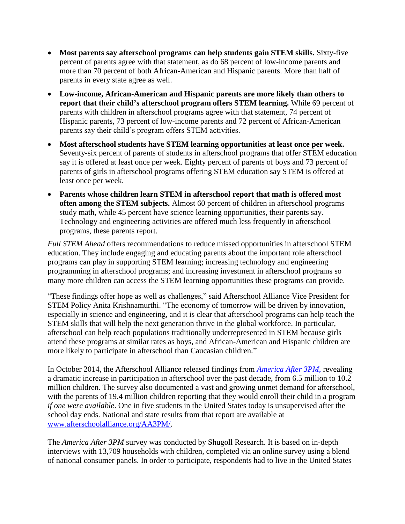- **Most parents say afterschool programs can help students gain STEM skills.** Sixty-five percent of parents agree with that statement, as do 68 percent of low-income parents and more than 70 percent of both African-American and Hispanic parents. More than half of parents in every state agree as well.
- **Low-income, African-American and Hispanic parents are more likely than others to report that their child's afterschool program offers STEM learning.** While 69 percent of parents with children in afterschool programs agree with that statement, 74 percent of Hispanic parents, 73 percent of low-income parents and 72 percent of African-American parents say their child's program offers STEM activities.
- **Most afterschool students have STEM learning opportunities at least once per week.** Seventy-six percent of parents of students in afterschool programs that offer STEM education say it is offered at least once per week. Eighty percent of parents of boys and 73 percent of parents of girls in afterschool programs offering STEM education say STEM is offered at least once per week.
- **Parents whose children learn STEM in afterschool report that math is offered most often among the STEM subjects.** Almost 60 percent of children in afterschool programs study math, while 45 percent have science learning opportunities, their parents say. Technology and engineering activities are offered much less frequently in afterschool programs, these parents report.

*Full STEM Ahead* offers recommendations to reduce missed opportunities in afterschool STEM education. They include engaging and educating parents about the important role afterschool programs can play in supporting STEM learning; increasing technology and engineering programming in afterschool programs; and increasing investment in afterschool programs so many more children can access the STEM learning opportunities these programs can provide.

"These findings offer hope as well as challenges," said Afterschool Alliance Vice President for STEM Policy Anita Krishnamurthi. "The economy of tomorrow will be driven by innovation, especially in science and engineering, and it is clear that afterschool programs can help teach the STEM skills that will help the next generation thrive in the global workforce. In particular, afterschool can help reach populations traditionally underrepresented in STEM because girls attend these programs at similar rates as boys, and African-American and Hispanic children are more likely to participate in afterschool than Caucasian children."

In October 2014, the Afterschool Alliance released findings from *[America After 3PM](http://www.afterschoolalliance.org/AA3PM/)*, revealing a dramatic increase in participation in afterschool over the past decade, from 6.5 million to 10.2 million children. The survey also documented a vast and growing unmet demand for afterschool, with the parents of 19.4 million children reporting that they would enroll their child in a program *if one were available*. One in five students in the United States today is unsupervised after the school day ends. National and state results from that report are available at [www.afterschoolalliance.org/AA3PM/.](http://www.afterschoolalliance.org/AA3PM/)

The *America After 3PM* survey was conducted by Shugoll Research. It is based on in-depth interviews with 13,709 households with children, completed via an online survey using a blend of national consumer panels. In order to participate, respondents had to live in the United States